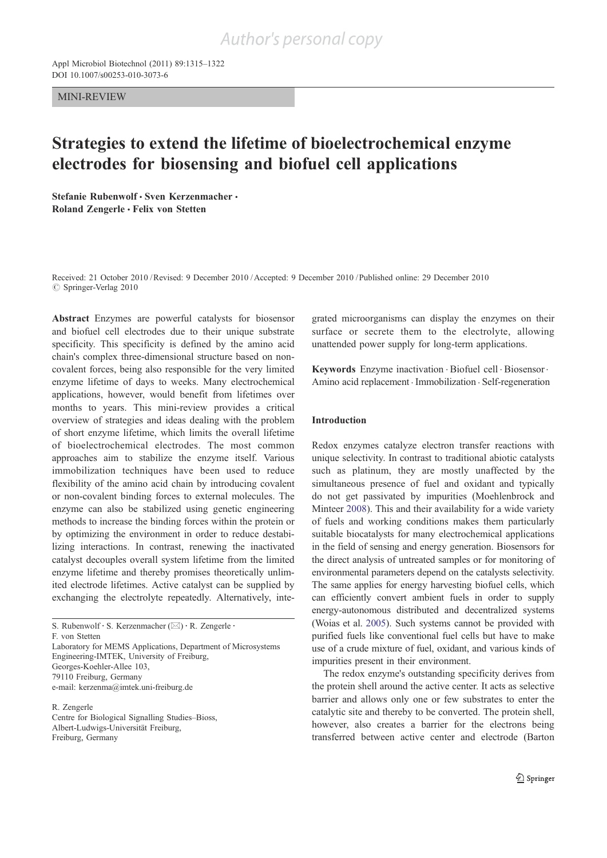Appl Microbiol Biotechnol (2011) 89:1315–1322 DOI 10.1007/s00253-010-3073-6

# MINI-REVIEW

# Strategies to extend the lifetime of bioelectrochemical enzyme electrodes for biosensing and biofuel cell applications

Stefanie Rubenwolf · Sven Kerzenmacher · Roland Zengerle & Felix von Stetten

Received: 21 October 2010 /Revised: 9 December 2010 /Accepted: 9 December 2010 / Published online: 29 December 2010 © Springer-Verlag 2010

Abstract Enzymes are powerful catalysts for biosensor and biofuel cell electrodes due to their unique substrate specificity. This specificity is defined by the amino acid chain's complex three-dimensional structure based on noncovalent forces, being also responsible for the very limited enzyme lifetime of days to weeks. Many electrochemical applications, however, would benefit from lifetimes over months to years. This mini-review provides a critical overview of strategies and ideas dealing with the problem of short enzyme lifetime, which limits the overall lifetime of bioelectrochemical electrodes. The most common approaches aim to stabilize the enzyme itself. Various immobilization techniques have been used to reduce flexibility of the amino acid chain by introducing covalent or non-covalent binding forces to external molecules. The enzyme can also be stabilized using genetic engineering methods to increase the binding forces within the protein or by optimizing the environment in order to reduce destabilizing interactions. In contrast, renewing the inactivated catalyst decouples overall system lifetime from the limited enzyme lifetime and thereby promises theoretically unlimited electrode lifetimes. Active catalyst can be supplied by exchanging the electrolyte repeatedly. Alternatively, inte-

Laboratory for MEMS Applications, Department of Microsystems Engineering-IMTEK, University of Freiburg, Georges-Koehler-Allee 103, 79110 Freiburg, Germany e-mail: kerzenma@imtek.uni-freiburg.de

R. Zengerle Centre for Biological Signalling Studies–Bioss, Albert-Ludwigs-Universität Freiburg, Freiburg, Germany

grated microorganisms can display the enzymes on their surface or secrete them to the electrolyte, allowing unattended power supply for long-term applications.

Keywords Enzyme inactivation . Biofuel cell . Biosensor. Amino acid replacement . Immobilization . Self-regeneration

# Introduction

Redox enzymes catalyze electron transfer reactions with unique selectivity. In contrast to traditional abiotic catalysts such as platinum, they are mostly unaffected by the simultaneous presence of fuel and oxidant and typically do not get passivated by impurities (Moehlenbrock and Minteer 2008). This and their availability for a wide variety of fuels and working conditions makes them particularly suitable biocatalysts for many electrochemical applications in the field of sensing and energy generation. Biosensors for the direct analysis of untreated samples or for monitoring of environmental parameters depend on the catalysts selectivity. The same applies for energy harvesting biofuel cells, which can efficiently convert ambient fuels in order to supply energy-autonomous distributed and decentralized systems (Woias et al. 2005). Such systems cannot be provided with purified fuels like conventional fuel cells but have to make use of a crude mixture of fuel, oxidant, and various kinds of impurities present in their environment.

The redox enzyme's outstanding specificity derives from the protein shell around the active center. It acts as selective barrier and allows only one or few substrates to enter the catalytic site and thereby to be converted. The protein shell, however, also creates a barrier for the electrons being transferred between active center and electrode (Barton

S. Rubenwolf · S. Kerzenmacher  $(\boxtimes)$  · R. Zengerle ·

F. von Stetten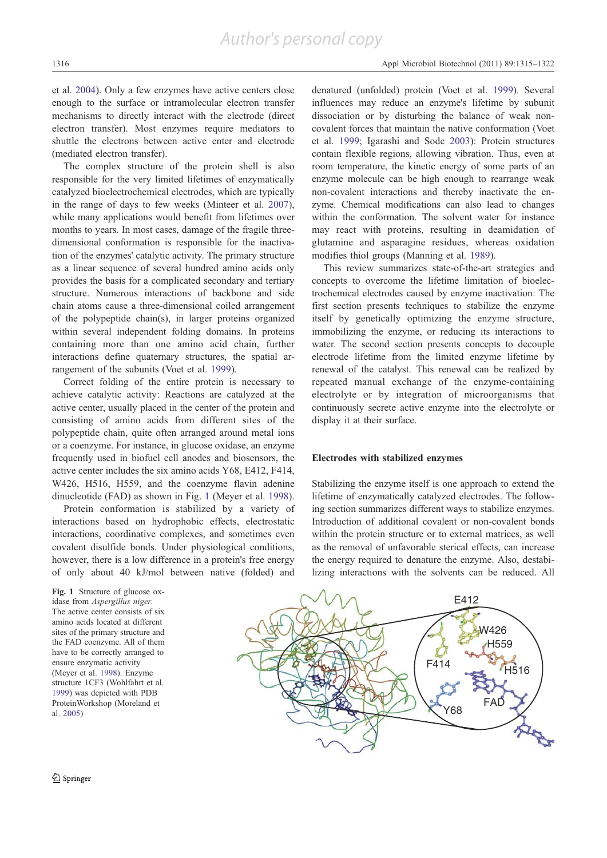et al. 2004). Only a few enzymes have active centers close enough to the surface or intramolecular electron transfer mechanisms to directly interact with the electrode (direct electron transfer). Most enzymes require mediators to shuttle the electrons between active enter and electrode (mediated electron transfer).

The complex structure of the protein shell is also responsible for the very limited lifetimes of enzymatically catalyzed bioelectrochemical electrodes, which are typically in the range of days to few weeks (Minteer et al. 2007), while many applications would benefit from lifetimes over months to years. In most cases, damage of the fragile threedimensional conformation is responsible for the inactivation of the enzymes' catalytic activity. The primary structure as a linear sequence of several hundred amino acids only provides the basis for a complicated secondary and tertiary structure. Numerous interactions of backbone and side chain atoms cause a three-dimensional coiled arrangement of the polypeptide chain(s), in larger proteins organized within several independent folding domains. In proteins containing more than one amino acid chain, further interactions define quaternary structures, the spatial arrangement of the subunits (Voet et al. 1999).

Correct folding of the entire protein is necessary to achieve catalytic activity: Reactions are catalyzed at the active center, usually placed in the center of the protein and consisting of amino acids from different sites of the polypeptide chain, quite often arranged around metal ions or a coenzyme. For instance, in glucose oxidase, an enzyme frequently used in biofuel cell anodes and biosensors, the active center includes the six amino acids Y68, E412, F414, W426, H516, H559, and the coenzyme flavin adenine dinucleotide (FAD) as shown in Fig. 1 (Meyer et al. 1998).

Protein conformation is stabilized by a variety of interactions based on hydrophobic effects, electrostatic interactions, coordinative complexes, and sometimes even covalent disulfide bonds. Under physiological conditions, however, there is a low difference in a protein's free energy of only about 40 kJ/mol between native (folded) and

Fig. 1 Structure of glucose oxidase from Aspergillus niger. The active center consists of six amino acids located at different sites of the primary structure and the FAD coenzyme. All of them have to be correctly arranged to ensure enzymatic activity (Meyer et al. 1998). Enzyme structure 1CF3 (Wohlfahrt et al. 1999) was depicted with PDB ProteinWorkshop (Moreland et al. 2005)

denatured (unfolded) protein (Voet et al. 1999). Several influences may reduce an enzyme's lifetime by subunit dissociation or by disturbing the balance of weak noncovalent forces that maintain the native conformation (Voet et al. 1999; Igarashi and Sode 2003): Protein structures contain flexible regions, allowing vibration. Thus, even at room temperature, the kinetic energy of some parts of an enzyme molecule can be high enough to rearrange weak non-covalent interactions and thereby inactivate the enzyme. Chemical modifications can also lead to changes within the conformation. The solvent water for instance may react with proteins, resulting in deamidation of glutamine and asparagine residues, whereas oxidation modifies thiol groups (Manning et al. 1989).

This review summarizes state-of-the-art strategies and concepts to overcome the lifetime limitation of bioelectrochemical electrodes caused by enzyme inactivation: The first section presents techniques to stabilize the enzyme itself by genetically optimizing the enzyme structure, immobilizing the enzyme, or reducing its interactions to water. The second section presents concepts to decouple electrode lifetime from the limited enzyme lifetime by renewal of the catalyst. This renewal can be realized by repeated manual exchange of the enzyme-containing electrolyte or by integration of microorganisms that continuously secrete active enzyme into the electrolyte or display it at their surface.

#### Electrodes with stabilized enzymes

Stabilizing the enzyme itself is one approach to extend the lifetime of enzymatically catalyzed electrodes. The following section summarizes different ways to stabilize enzymes. Introduction of additional covalent or non-covalent bonds within the protein structure or to external matrices, as well as the removal of unfavorable sterical effects, can increase the energy required to denature the enzyme. Also, destabilizing interactions with the solvents can be reduced. All



2 Springer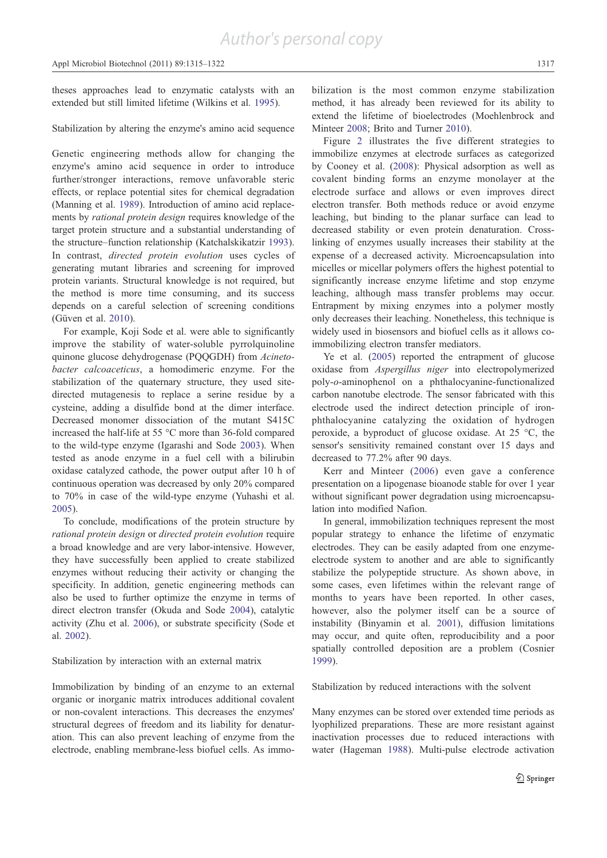theses approaches lead to enzymatic catalysts with an extended but still limited lifetime (Wilkins et al. 1995).

Stabilization by altering the enzyme's amino acid sequence

Genetic engineering methods allow for changing the enzyme's amino acid sequence in order to introduce further/stronger interactions, remove unfavorable steric effects, or replace potential sites for chemical degradation (Manning et al. 1989). Introduction of amino acid replacements by rational protein design requires knowledge of the target protein structure and a substantial understanding of the structure–function relationship (Katchalskikatzir 1993). In contrast, directed protein evolution uses cycles of generating mutant libraries and screening for improved protein variants. Structural knowledge is not required, but the method is more time consuming, and its success depends on a careful selection of screening conditions (Güven et al. 2010).

For example, Koji Sode et al. were able to significantly improve the stability of water-soluble pyrrolquinoline quinone glucose dehydrogenase (PQQGDH) from Acinetobacter calcoaceticus, a homodimeric enzyme. For the stabilization of the quaternary structure, they used sitedirected mutagenesis to replace a serine residue by a cysteine, adding a disulfide bond at the dimer interface. Decreased monomer dissociation of the mutant S415C increased the half-life at 55 °C more than 36-fold compared to the wild-type enzyme (Igarashi and Sode 2003). When tested as anode enzyme in a fuel cell with a bilirubin oxidase catalyzed cathode, the power output after 10 h of continuous operation was decreased by only 20% compared to 70% in case of the wild-type enzyme (Yuhashi et al. 2005).

To conclude, modifications of the protein structure by rational protein design or directed protein evolution require a broad knowledge and are very labor-intensive. However, they have successfully been applied to create stabilized enzymes without reducing their activity or changing the specificity. In addition, genetic engineering methods can also be used to further optimize the enzyme in terms of direct electron transfer (Okuda and Sode 2004), catalytic activity (Zhu et al. 2006), or substrate specificity (Sode et al. 2002).

# Stabilization by interaction with an external matrix

Immobilization by binding of an enzyme to an external organic or inorganic matrix introduces additional covalent or non-covalent interactions. This decreases the enzymes' structural degrees of freedom and its liability for denaturation. This can also prevent leaching of enzyme from the electrode, enabling membrane-less biofuel cells. As immobilization is the most common enzyme stabilization method, it has already been reviewed for its ability to extend the lifetime of bioelectrodes (Moehlenbrock and Minteer 2008; Brito and Turner 2010).

Figure 2 illustrates the five different strategies to immobilize enzymes at electrode surfaces as categorized by Cooney et al. (2008): Physical adsorption as well as covalent binding forms an enzyme monolayer at the electrode surface and allows or even improves direct electron transfer. Both methods reduce or avoid enzyme leaching, but binding to the planar surface can lead to decreased stability or even protein denaturation. Crosslinking of enzymes usually increases their stability at the expense of a decreased activity. Microencapsulation into micelles or micellar polymers offers the highest potential to significantly increase enzyme lifetime and stop enzyme leaching, although mass transfer problems may occur. Entrapment by mixing enzymes into a polymer mostly only decreases their leaching. Nonetheless, this technique is widely used in biosensors and biofuel cells as it allows coimmobilizing electron transfer mediators.

Ye et al. (2005) reported the entrapment of glucose oxidase from Aspergillus niger into electropolymerized poly-o-aminophenol on a phthalocyanine-functionalized carbon nanotube electrode. The sensor fabricated with this electrode used the indirect detection principle of ironphthalocyanine catalyzing the oxidation of hydrogen peroxide, a byproduct of glucose oxidase. At 25 °C, the sensor's sensitivity remained constant over 15 days and decreased to 77.2% after 90 days.

Kerr and Minteer (2006) even gave a conference presentation on a lipogenase bioanode stable for over 1 year without significant power degradation using microencapsulation into modified Nafion.

In general, immobilization techniques represent the most popular strategy to enhance the lifetime of enzymatic electrodes. They can be easily adapted from one enzymeelectrode system to another and are able to significantly stabilize the polypeptide structure. As shown above, in some cases, even lifetimes within the relevant range of months to years have been reported. In other cases, however, also the polymer itself can be a source of instability (Binyamin et al. 2001), diffusion limitations may occur, and quite often, reproducibility and a poor spatially controlled deposition are a problem (Cosnier 1999).

Stabilization by reduced interactions with the solvent

Many enzymes can be stored over extended time periods as lyophilized preparations. These are more resistant against inactivation processes due to reduced interactions with water (Hageman 1988). Multi-pulse electrode activation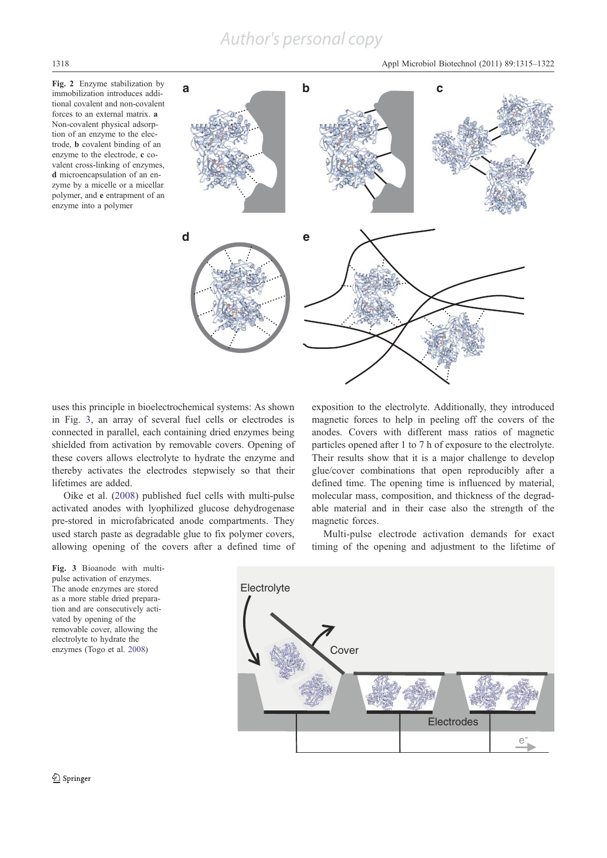*Author's personal copy*

Fig. 2 Enzyme stabilization by immobilization introduces additional covalent and non-covalent forces to an external matrix. a Non-covalent physical adsorption of an enzyme to the electrode, b covalent binding of an enzyme to the electrode, c covalent cross-linking of enzymes, d microencapsulation of an enzyme by a micelle or a micellar polymer, and e entrapment of an enzyme into a polymer



uses this principle in bioelectrochemical systems: As shown in Fig. 3, an array of several fuel cells or electrodes is connected in parallel, each containing dried enzymes being shielded from activation by removable covers. Opening of these covers allows electrolyte to hydrate the enzyme and thereby activates the electrodes stepwisely so that their lifetimes are added.

Oike et al. (2008) published fuel cells with multi-pulse activated anodes with lyophilized glucose dehydrogenase pre-stored in microfabricated anode compartments. They used starch paste as degradable glue to fix polymer covers, allowing opening of the covers after a defined time of exposition to the electrolyte. Additionally, they introduced magnetic forces to help in peeling off the covers of the anodes. Covers with different mass ratios of magnetic particles opened after 1 to 7 h of exposure to the electrolyte. Their results show that it is a major challenge to develop glue/cover combinations that open reproducibly after a defined time. The opening time is influenced by material, molecular mass, composition, and thickness of the degradable material and in their case also the strength of the magnetic forces.

Multi-pulse electrode activation demands for exact timing of the opening and adjustment to the lifetime of



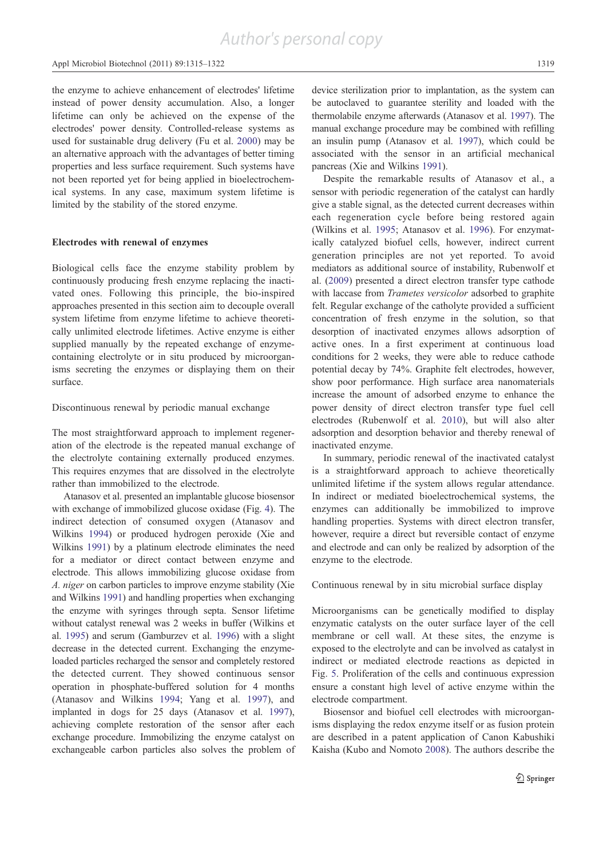# Appl Microbiol Biotechnol (2011) 89:1315–1322 1319

the enzyme to achieve enhancement of electrodes' lifetime instead of power density accumulation. Also, a longer lifetime can only be achieved on the expense of the electrodes' power density. Controlled-release systems as used for sustainable drug delivery (Fu et al. 2000) may be an alternative approach with the advantages of better timing properties and less surface requirement. Such systems have not been reported yet for being applied in bioelectrochemical systems. In any case, maximum system lifetime is limited by the stability of the stored enzyme.

#### Electrodes with renewal of enzymes

Biological cells face the enzyme stability problem by continuously producing fresh enzyme replacing the inactivated ones. Following this principle, the bio-inspired approaches presented in this section aim to decouple overall system lifetime from enzyme lifetime to achieve theoretically unlimited electrode lifetimes. Active enzyme is either supplied manually by the repeated exchange of enzymecontaining electrolyte or in situ produced by microorganisms secreting the enzymes or displaying them on their surface.

# Discontinuous renewal by periodic manual exchange

The most straightforward approach to implement regeneration of the electrode is the repeated manual exchange of the electrolyte containing externally produced enzymes. This requires enzymes that are dissolved in the electrolyte rather than immobilized to the electrode.

Atanasov et al. presented an implantable glucose biosensor with exchange of immobilized glucose oxidase (Fig. 4). The indirect detection of consumed oxygen (Atanasov and Wilkins 1994) or produced hydrogen peroxide (Xie and Wilkins 1991) by a platinum electrode eliminates the need for a mediator or direct contact between enzyme and electrode. This allows immobilizing glucose oxidase from A. niger on carbon particles to improve enzyme stability (Xie and Wilkins 1991) and handling properties when exchanging the enzyme with syringes through septa. Sensor lifetime without catalyst renewal was 2 weeks in buffer (Wilkins et al. 1995) and serum (Gamburzev et al. 1996) with a slight decrease in the detected current. Exchanging the enzymeloaded particles recharged the sensor and completely restored the detected current. They showed continuous sensor operation in phosphate-buffered solution for 4 months (Atanasov and Wilkins 1994; Yang et al. 1997), and implanted in dogs for 25 days (Atanasov et al. 1997), achieving complete restoration of the sensor after each exchange procedure. Immobilizing the enzyme catalyst on exchangeable carbon particles also solves the problem of device sterilization prior to implantation, as the system can be autoclaved to guarantee sterility and loaded with the thermolabile enzyme afterwards (Atanasov et al. 1997). The manual exchange procedure may be combined with refilling an insulin pump (Atanasov et al. 1997), which could be associated with the sensor in an artificial mechanical pancreas (Xie and Wilkins 1991).

Despite the remarkable results of Atanasov et al., a sensor with periodic regeneration of the catalyst can hardly give a stable signal, as the detected current decreases within each regeneration cycle before being restored again (Wilkins et al. 1995; Atanasov et al. 1996). For enzymatically catalyzed biofuel cells, however, indirect current generation principles are not yet reported. To avoid mediators as additional source of instability, Rubenwolf et al. (2009) presented a direct electron transfer type cathode with laccase from *Trametes versicolor* adsorbed to graphite felt. Regular exchange of the catholyte provided a sufficient concentration of fresh enzyme in the solution, so that desorption of inactivated enzymes allows adsorption of active ones. In a first experiment at continuous load conditions for 2 weeks, they were able to reduce cathode potential decay by 74%. Graphite felt electrodes, however, show poor performance. High surface area nanomaterials increase the amount of adsorbed enzyme to enhance the power density of direct electron transfer type fuel cell electrodes (Rubenwolf et al. 2010), but will also alter adsorption and desorption behavior and thereby renewal of inactivated enzyme.

In summary, periodic renewal of the inactivated catalyst is a straightforward approach to achieve theoretically unlimited lifetime if the system allows regular attendance. In indirect or mediated bioelectrochemical systems, the enzymes can additionally be immobilized to improve handling properties. Systems with direct electron transfer, however, require a direct but reversible contact of enzyme and electrode and can only be realized by adsorption of the enzyme to the electrode.

# Continuous renewal by in situ microbial surface display

Microorganisms can be genetically modified to display enzymatic catalysts on the outer surface layer of the cell membrane or cell wall. At these sites, the enzyme is exposed to the electrolyte and can be involved as catalyst in indirect or mediated electrode reactions as depicted in Fig. 5. Proliferation of the cells and continuous expression ensure a constant high level of active enzyme within the electrode compartment.

Biosensor and biofuel cell electrodes with microorganisms displaying the redox enzyme itself or as fusion protein are described in a patent application of Canon Kabushiki Kaisha (Kubo and Nomoto 2008). The authors describe the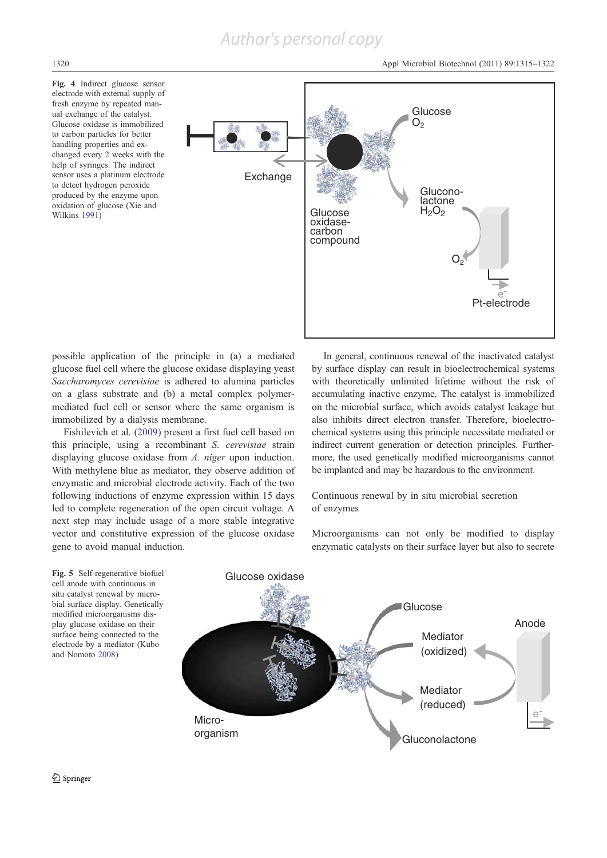Author's personal copy

Fig. 4 Indirect glucose sensor electrode with external supply of fresh enzyme by repeated manual exchange of the catalyst. Glucose oxidase is immobilized to carbon particles for better handling properties and exchanged every 2 weeks with the help of syringes. The indirect sensor uses a platinum electrode to detect hydrogen peroxide produced by the enzyme upon oxidation of glucose (Xie and Wilkins 1991)



possible application of the principle in (a) a mediated glucose fuel cell where the glucose oxidase displaying yeast Saccharomyces cerevisiae is adhered to alumina particles on a glass substrate and (b) a metal complex polymermediated fuel cell or sensor where the same organism is immobilized by a dialysis membrane.

Fishilevich et al. (2009) present a first fuel cell based on this principle, using a recombinant S. cerevisiae strain displaying glucose oxidase from A. niger upon induction. With methylene blue as mediator, they observe addition of enzymatic and microbial electrode activity. Each of the two following inductions of enzyme expression within 15 days led to complete regeneration of the open circuit voltage. A next step may include usage of a more stable integrative vector and constitutive expression of the glucose oxidase gene to avoid manual induction.

In general, continuous renewal of the inactivated catalyst by surface display can result in bioelectrochemical systems with theoretically unlimited lifetime without the risk of accumulating inactive enzyme. The catalyst is immobilized on the microbial surface, which avoids catalyst leakage but also inhibits direct electron transfer. Therefore, bioelectrochemical systems using this principle necessitate mediated or indirect current generation or detection principles. Furthermore, the used genetically modified microorganisms cannot be implanted and may be hazardous to the environment.

Continuous renewal by in situ microbial secretion of enzymes

Microorganisms can not only be modified to display enzymatic catalysts on their surface layer but also to secrete

Fig. 5 Self-regenerative biofuel cell anode with continuous in situ catalyst renewal by microbial surface display. Genetically modified microorganisms display glucose oxidase on their surface being connected to the electrode by a mediator (Kubo and Nomoto 2008)

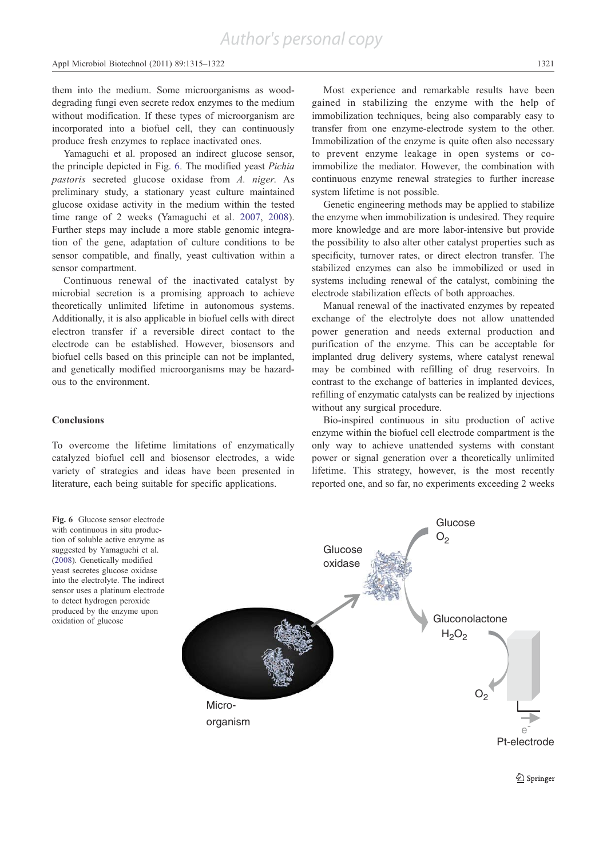them into the medium. Some microorganisms as wooddegrading fungi even secrete redox enzymes to the medium without modification. If these types of microorganism are incorporated into a biofuel cell, they can continuously produce fresh enzymes to replace inactivated ones.

Yamaguchi et al. proposed an indirect glucose sensor, the principle depicted in Fig. 6. The modified yeast Pichia pastoris secreted glucose oxidase from A. niger. As preliminary study, a stationary yeast culture maintained glucose oxidase activity in the medium within the tested time range of 2 weeks (Yamaguchi et al. 2007, 2008). Further steps may include a more stable genomic integration of the gene, adaptation of culture conditions to be sensor compatible, and finally, yeast cultivation within a sensor compartment.

Continuous renewal of the inactivated catalyst by microbial secretion is a promising approach to achieve theoretically unlimited lifetime in autonomous systems. Additionally, it is also applicable in biofuel cells with direct electron transfer if a reversible direct contact to the electrode can be established. However, biosensors and biofuel cells based on this principle can not be implanted, and genetically modified microorganisms may be hazardous to the environment.

# Conclusions

oxidation of glucose

To overcome the lifetime limitations of enzymatically catalyzed biofuel cell and biosensor electrodes, a wide variety of strategies and ideas have been presented in literature, each being suitable for specific applications.

Most experience and remarkable results have been gained in stabilizing the enzyme with the help of immobilization techniques, being also comparably easy to transfer from one enzyme-electrode system to the other. Immobilization of the enzyme is quite often also necessary to prevent enzyme leakage in open systems or coimmobilize the mediator. However, the combination with continuous enzyme renewal strategies to further increase system lifetime is not possible.

Genetic engineering methods may be applied to stabilize the enzyme when immobilization is undesired. They require more knowledge and are more labor-intensive but provide the possibility to also alter other catalyst properties such as specificity, turnover rates, or direct electron transfer. The stabilized enzymes can also be immobilized or used in systems including renewal of the catalyst, combining the electrode stabilization effects of both approaches.

Manual renewal of the inactivated enzymes by repeated exchange of the electrolyte does not allow unattended power generation and needs external production and purification of the enzyme. This can be acceptable for implanted drug delivery systems, where catalyst renewal may be combined with refilling of drug reservoirs. In contrast to the exchange of batteries in implanted devices, refilling of enzymatic catalysts can be realized by injections without any surgical procedure.

Bio-inspired continuous in situ production of active enzyme within the biofuel cell electrode compartment is the only way to achieve unattended systems with constant power or signal generation over a theoretically unlimited lifetime. This strategy, however, is the most recently reported one, and so far, no experiments exceeding 2 weeks

Glucose oxidase Microorganism  $\triangle$ **Glucose**  $O<sub>2</sub>$  $H_2O_2$ Gluconolactone Pt-electrode  $O<sub>2</sub>$ Fig. 6 Glucose sensor electrode with continuous in situ production of soluble active enzyme as suggested by Yamaguchi et al. (2008). Genetically modified yeast secretes glucose oxidase into the electrolyte. The indirect sensor uses a platinum electrode to detect hydrogen peroxide produced by the enzyme upon

 $\textcircled{2}$  Springer